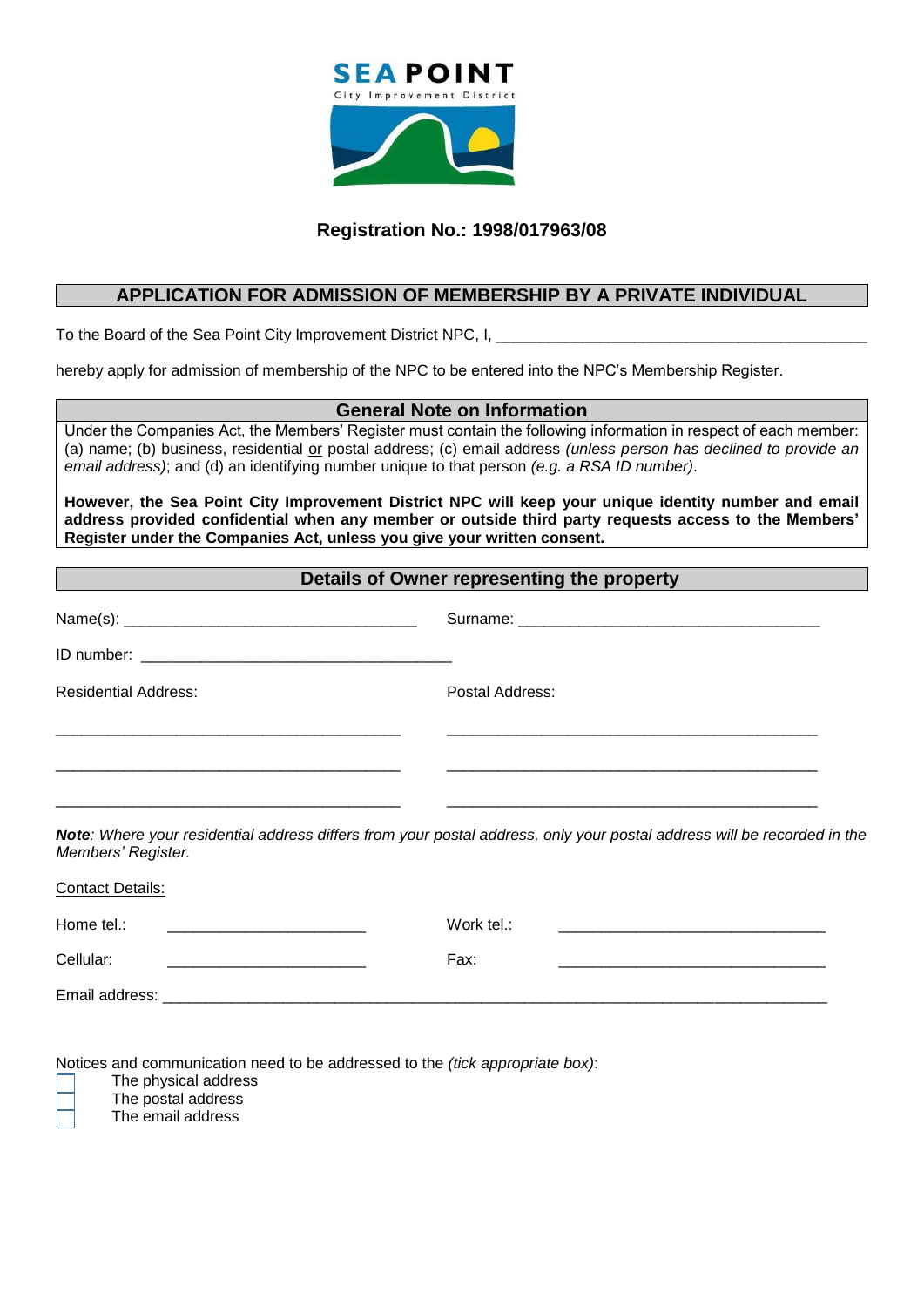

# **Registration No.: 1998/017963/08**

## **APPLICATION FOR ADMISSION OF MEMBERSHIP BY A PRIVATE INDIVIDUAL**

To the Board of the Sea Point City Improvement District NPC, I,

hereby apply for admission of membership of the NPC to be entered into the NPC's Membership Register.

#### **General Note on Information**

Under the Companies Act, the Members' Register must contain the following information in respect of each member: (a) name; (b) business, residential or postal address; (c) email address *(unless person has declined to provide an email address)*; and (d) an identifying number unique to that person *(e.g. a RSA ID number)*.

**However, the Sea Point City Improvement District NPC will keep your unique identity number and email address provided confidential when any member or outside third party requests access to the Members' Register under the Companies Act, unless you give your written consent.**

# **Details of Owner representing the property**

| <b>Residential Address:</b>   | Postal Address:                                                                                                         |  |
|-------------------------------|-------------------------------------------------------------------------------------------------------------------------|--|
|                               |                                                                                                                         |  |
|                               |                                                                                                                         |  |
| Members' Register.            | Note: Where your residential address differs from your postal address, only your postal address will be recorded in the |  |
| <b>Contact Details:</b>       |                                                                                                                         |  |
| Home tel.:                    | Work tel.:                                                                                                              |  |
| Cellular:                     | Fax:                                                                                                                    |  |
| Email address: ______________ |                                                                                                                         |  |

Notices and communication need to be addressed to the *(tick appropriate box)*:

The physical address

The postal address

The email address